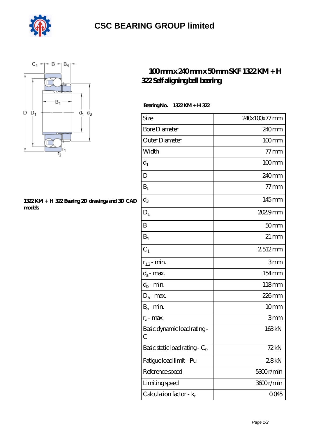

## **[CSC BEARING GROUP limited](https://augustinusga.com)**



## **[1322 KM + H 322 Bearing 2D drawings and 3D CAD](https://augustinusga.com/pic-65110019.html) [models](https://augustinusga.com/pic-65110019.html)**

## **[100 mm x 240 mm x 50 mm SKF 1322 KM + H](https://augustinusga.com/skf-1322-km-h-322-bearing/) [322 Self aligning ball bearing](https://augustinusga.com/skf-1322-km-h-322-bearing/)**

| Bearing No. | $1322KM + H322$ |
|-------------|-----------------|
|-------------|-----------------|

| Size                             | 240x100x77 mm      |
|----------------------------------|--------------------|
| <b>Bore Diameter</b>             | 240 <sub>mm</sub>  |
| Outer Diameter                   | $100 \text{mm}$    |
| Width                            | $77$ mm            |
| $d_1$                            | $100$ mm           |
| D                                | 240 <sub>mm</sub>  |
| $B_1$                            | $77 \,\rm{mm}$     |
| $d_3$                            | 145mm              |
| $D_1$                            | 2029mm             |
| B                                | 50 <sub>mm</sub>   |
| $B_4$                            | $21 \,\mathrm{mm}$ |
| C <sub>1</sub>                   | 2512mm             |
| $r_{1,2}$ - min.                 | 3mm                |
| $d_a$ - max.                     | 154mm              |
| $d_b$ - min.                     | 118mm              |
| $D_a$ - max.                     | 226mm              |
| $B_a$ - $\min$                   | 10 <sub>mm</sub>   |
| $r_a$ - max.                     | 3mm                |
| Basic dynamic load rating-<br>С  | 163kN              |
| Basic static load rating - $C_0$ | 72kN               |
| Fatigue load limit - Pu          | 28kN               |
| Reference speed                  | 5300r/min          |
| Limiting speed                   | 3600r/min          |
| Calculation factor - $k_r$       | 0045               |